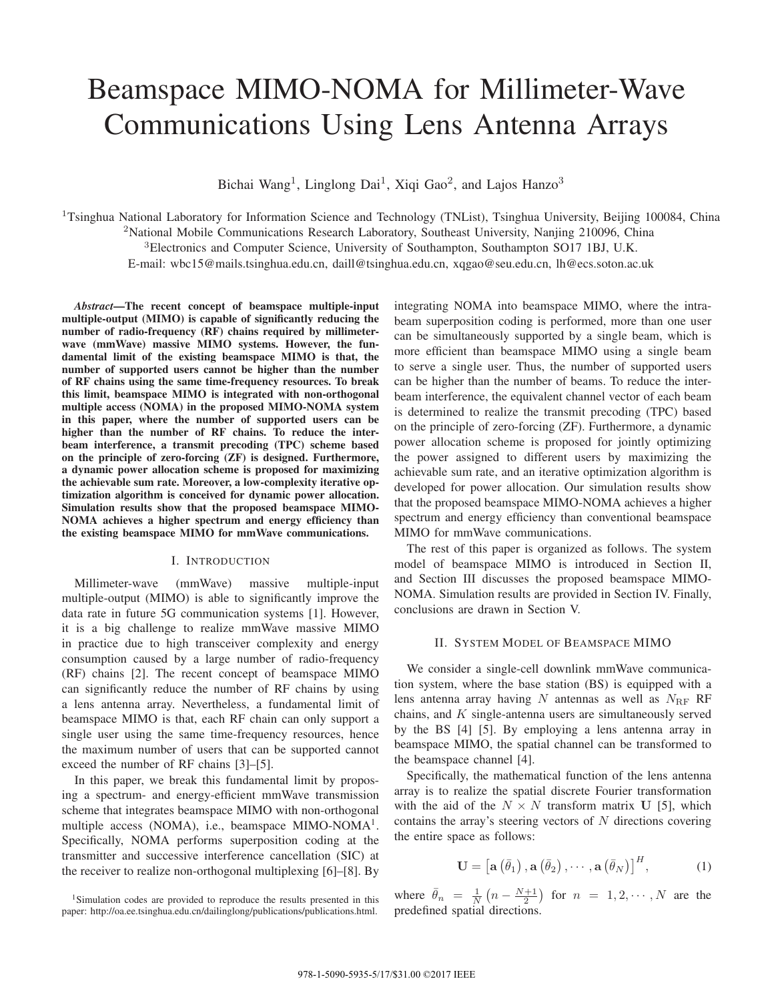# Beamspace MIMO-NOMA for Millimeter-Wave Communications Using Lens Antenna Arrays

Bichai Wang<sup>1</sup>, Linglong Dai<sup>1</sup>, Xiqi Gao<sup>2</sup>, and Lajos Hanzo<sup>3</sup>

<sup>1</sup>Tsinghua National Laboratory for Information Science and Technology (TNList), Tsinghua University, Beijing 100084, China

<sup>2</sup>National Mobile Communications Research Laboratory, Southeast University, Nanjing 210096, China

<sup>3</sup>Electronics and Computer Science, University of Southampton, Southampton SO17 1BJ, U.K.

E-mail: wbc15@mails.tsinghua.edu.cn, daill@tsinghua.edu.cn, xqgao@seu.edu.cn, lh@ecs.soton.ac.uk

*Abstract***—The recent concept of beamspace multiple-input multiple-output (MIMO) is capable of significantly reducing the number of radio-frequency (RF) chains required by millimeterwave (mmWave) massive MIMO systems. However, the fundamental limit of the existing beamspace MIMO is that, the number of supported users cannot be higher than the number of RF chains using the same time-frequency resources. To break this limit, beamspace MIMO is integrated with non-orthogonal multiple access (NOMA) in the proposed MIMO-NOMA system in this paper, where the number of supported users can be higher than the number of RF chains. To reduce the interbeam interference, a transmit precoding (TPC) scheme based on the principle of zero-forcing (ZF) is designed. Furthermore, a dynamic power allocation scheme is proposed for maximizing the achievable sum rate. Moreover, a low-complexity iterative optimization algorithm is conceived for dynamic power allocation. Simulation results show that the proposed beamspace MIMO-NOMA achieves a higher spectrum and energy efficiency than the existing beamspace MIMO for mmWave communications.**

## I. INTRODUCTION

Millimeter-wave (mmWave) massive multiple-input multiple-output (MIMO) is able to significantly improve the data rate in future 5G communication systems [1]. However, it is a big challenge to realize mmWave massive MIMO in practice due to high transceiver complexity and energy consumption caused by a large number of radio-frequency (RF) chains [2]. The recent concept of beamspace MIMO can significantly reduce the number of RF chains by using a lens antenna array. Nevertheless, a fundamental limit of beamspace MIMO is that, each RF chain can only support a single user using the same time-frequency resources, hence the maximum number of users that can be supported cannot exceed the number of RF chains [3]–[5].

In this paper, we break this fundamental limit by proposing a spectrum- and energy-efficient mmWave transmission scheme that integrates beamspace MIMO with non-orthogonal multiple access (NOMA), i.e., beamspace MIMO-NOMA<sup>1</sup>. Specifically, NOMA performs superposition coding at the transmitter and successive interference cancellation (SIC) at the receiver to realize non-orthogonal multiplexing [6]–[8]. By

<sup>1</sup>Simulation codes are provided to reproduce the results presented in this paper: http://oa.ee.tsinghua.edu.cn/dailinglong/publications/publications.html. integrating NOMA into beamspace MIMO, where the intrabeam superposition coding is performed, more than one user can be simultaneously supported by a single beam, which is more efficient than beamspace MIMO using a single beam to serve a single user. Thus, the number of supported users can be higher than the number of beams. To reduce the interbeam interference, the equivalent channel vector of each beam is determined to realize the transmit precoding (TPC) based on the principle of zero-forcing (ZF). Furthermore, a dynamic power allocation scheme is proposed for jointly optimizing the power assigned to different users by maximizing the achievable sum rate, and an iterative optimization algorithm is developed for power allocation. Our simulation results show that the proposed beamspace MIMO-NOMA achieves a higher spectrum and energy efficiency than conventional beamspace MIMO for mmWave communications.

The rest of this paper is organized as follows. The system model of beamspace MIMO is introduced in Section II, and Section III discusses the proposed beamspace MIMO-NOMA. Simulation results are provided in Section IV. Finally, conclusions are drawn in Section V.

### II. SYSTEM MODEL OF BEAMSPACE MIMO

We consider a single-cell downlink mmWave communication system, where the base station (BS) is equipped with a lens antenna array having  $N$  antennas as well as  $N_{\text{RF}}$  RF chains, and  $K$  single-antenna users are simultaneously served by the BS [4] [5]. By employing a lens antenna array in beamspace MIMO, the spatial channel can be transformed to the beamspace channel [4].

Specifically, the mathematical function of the lens antenna array is to realize the spatial discrete Fourier transformation with the aid of the  $N \times N$  transform matrix **U** [5], which contains the array's steering vectors of  $N$  directions covering the entire space as follows:

$$
\mathbf{U} = \left[ \mathbf{a} \left( \bar{\theta}_1 \right), \mathbf{a} \left( \bar{\theta}_2 \right), \cdots, \mathbf{a} \left( \bar{\theta}_N \right) \right]^H, \tag{1}
$$

where  $\bar{\theta}_n = \frac{1}{N} \left( n - \frac{N+1}{2} \right)$  for  $n = 1, 2, \dots, N$  are the predefined spatial directions.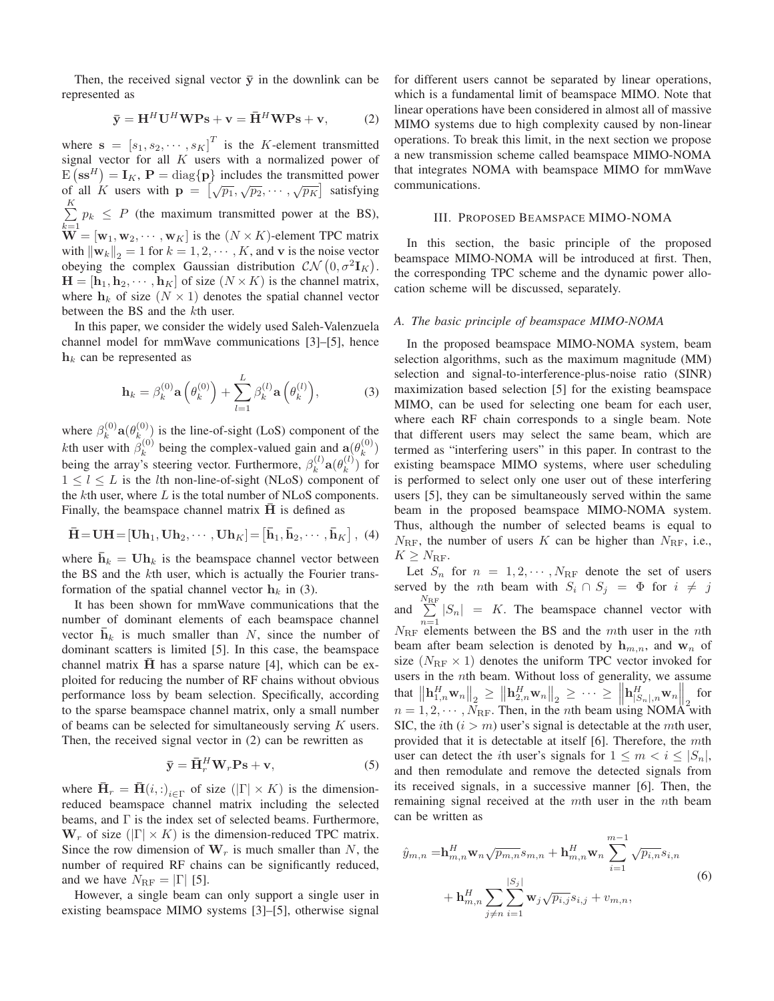Then, the received signal vector  $\bar{y}$  in the downlink can be represented as

$$
\bar{\mathbf{y}} = \mathbf{H}^H \mathbf{U}^H \mathbf{W} \mathbf{P} \mathbf{s} + \mathbf{v} = \bar{\mathbf{H}}^H \mathbf{W} \mathbf{P} \mathbf{s} + \mathbf{v},\tag{2}
$$

where  $\mathbf{s} = [s_1, s_2, \cdots, s_K]^T$  is the *K*-element transmitted signal vector for all  $K$  users with a normalized power of  $E\left(\mathbf{s}\mathbf{s}^H\right) = \mathbf{I}_K$ ,  $\mathbf{P} = \text{diag}\{\mathbf{p}\}\$ includes the transmitted power of all *K* users with  $\mathbf{p} = [\sqrt{p_1}, \sqrt{p_2}, \cdots, \sqrt{p_K}]$  satisfying  $\sum K$  $\sum_{k=1} p_k \leq P$  (the maximum transmitted power at the BS),  $\mathbf{W} = [\mathbf{w}_1, \mathbf{w}_2, \cdots, \mathbf{w}_K]$  is the  $(N \times K)$ -element TPC matrix with  $\|\mathbf{w}_k\|_2 = 1$  for  $k = 1, 2, \cdots, K$ , and **v** is the noise vector obeying the complex Gaussian distribution  $\mathcal{CN} (0, \sigma^2 \mathbf{I}_K)$ .  $\mathbf{H} = [\mathbf{h}_1, \mathbf{h}_2, \cdots, \mathbf{h}_K]$  of size  $(N \times K)$  is the channel matrix, where  $h_k$  of size  $(N \times 1)$  denotes the spatial channel vector between the BS and the  $k$ th user.

In this paper, we consider the widely used Saleh-Valenzuela channel model for mmWave communications [3]–[5], hence  $h_k$  can be represented as

$$
\mathbf{h}_{k} = \beta_{k}^{(0)} \mathbf{a} \left( \theta_{k}^{(0)} \right) + \sum_{l=1}^{L} \beta_{k}^{(l)} \mathbf{a} \left( \theta_{k}^{(l)} \right), \tag{3}
$$

where  $\beta_k^{(0)}$   $\mathbf{a}(\theta_{k_{s}}^{(0)})$  is the line-of-sight (LoS) component of the *kth* user with  $\hat{\beta}_k^{(0)}$  being the complex-valued gain and  $\mathbf{a}(\theta_k^{(0)})$ being the array's steering vector. Furthermore,  $\beta_k^{(l)}$  **a** $(\theta_k^{(l)})$  for  $1 \leq l \leq L$  is the *l*th non-line-of-sight (NLoS) component of the  $k$ th user, where  $L$  is the total number of NLoS components. Finally, the beamspace channel matrix  $\overline{H}$  is defined as

$$
\overline{\mathbf{H}} = \mathbf{U}\mathbf{H} = [\mathbf{U}\mathbf{h}_1, \mathbf{U}\mathbf{h}_2, \cdots, \mathbf{U}\mathbf{h}_K] = [\overline{\mathbf{h}}_1, \overline{\mathbf{h}}_2, \cdots, \overline{\mathbf{h}}_K], \tag{4}
$$

where  $\bar{\mathbf{h}}_k = \mathbf{U} \mathbf{h}_k$  is the beamspace channel vector between the BS and the  $k$ th user, which is actually the Fourier transformation of the spatial channel vector  $h_k$  in (3).

It has been shown for mmWave communications that the number of dominant elements of each beamspace channel vector  $\mathbf{h}_k$  is much smaller than N, since the number of dominant scatters is limited [5]. In this case, the beamspace channel matrix  $\bf{H}$  has a sparse nature [4], which can be exploited for reducing the number of RF chains without obvious performance loss by beam selection. Specifically, according to the sparse beamspace channel matrix, only a small number of beams can be selected for simultaneously serving  $K$  users. Then, the received signal vector in (2) can be rewritten as

$$
\bar{\mathbf{y}} = \bar{\mathbf{H}}_r^H \mathbf{W}_r \mathbf{P} \mathbf{s} + \mathbf{v},\tag{5}
$$

where  $\overline{\mathbf{H}}_r = \overline{\mathbf{H}}(i,:)_{i \in \Gamma}$  of size  $(|\Gamma| \times K)$  is the dimensionreduced beamspace channel matrix including the selected beams, and Γ is the index set of selected beams. Furthermore,  $W_r$  of size ( $|\Gamma| \times K$ ) is the dimension-reduced TPC matrix. Since the row dimension of  $W_r$  is much smaller than N, the number of required RF chains can be significantly reduced, and we have  $N_{\text{RF}} = |\Gamma|$  [5].

However, a single beam can only support a single user in existing beamspace MIMO systems [3]–[5], otherwise signal for different users cannot be separated by linear operations, which is a fundamental limit of beamspace MIMO. Note that linear operations have been considered in almost all of massive MIMO systems due to high complexity caused by non-linear operations. To break this limit, in the next section we propose a new transmission scheme called beamspace MIMO-NOMA that integrates NOMA with beamspace MIMO for mmWave communications.

# III. PROPOSED BEAMSPACE MIMO-NOMA

In this section, the basic principle of the proposed beamspace MIMO-NOMA will be introduced at first. Then, the corresponding TPC scheme and the dynamic power allocation scheme will be discussed, separately.

# *A. The basic principle of beamspace MIMO-NOMA*

In the proposed beamspace MIMO-NOMA system, beam selection algorithms, such as the maximum magnitude (MM) selection and signal-to-interference-plus-noise ratio (SINR) maximization based selection [5] for the existing beamspace MIMO, can be used for selecting one beam for each user, where each RF chain corresponds to a single beam. Note that different users may select the same beam, which are termed as "interfering users" in this paper. In contrast to the existing beamspace MIMO systems, where user scheduling is performed to select only one user out of these interfering users [5], they can be simultaneously served within the same beam in the proposed beamspace MIMO-NOMA system. Thus, although the number of selected beams is equal to  $N_{\text{RF}}$ , the number of users K can be higher than  $N_{\text{RF}}$ , i.e.,  $K \geq N_{\text{RF}}$ .

Let  $S_n$  for  $n = 1, 2, \cdots, N_{\text{RF}}$  denote the set of users served by the *n*th beam with  $S_i \cap S_j = \Phi$  for  $i \neq j$ and  $\sum_{ }^{N_{\text{RF}}}$  $\sum_{n=1}^{\infty} |S_n| = K$ . The beamspace channel vector with  $N_{\text{RF}}$  elements between the BS and the mth user in the nth beam after beam selection is denoted by  $h_{m,n}$ , and  $w_n$  of size  $(N_{\text{RF}} \times 1)$  denotes the uniform TPC vector invoked for users in the *n*th beam. Without loss of generality, we assume that  $\left\| \mathbf{h}_{1,n}^H \mathbf{w}_n \right\|_2 \geq \left\| \mathbf{h}_{2,n}^H \mathbf{w}_n \right\|_2 \geq \cdots \geq \left\| \mathbf{h}_{|S_n|,n}^H \mathbf{w}_n \right\|_2$  for  $n = 1, 2, \cdots, N_{\text{RF}}$ . Then, in the *n*th beam using NOMA with SIC, the *i*th  $(i > m)$  user's signal is detectable at the *m*th user, provided that it is detectable at itself  $[6]$ . Therefore, the  $m$ th user can detect the *i*th user's signals for  $1 \leq m < i \leq |S_n|$ , and then remodulate and remove the detected signals from its received signals, in a successive manner [6]. Then, the remaining signal received at the  $m$ th user in the  $n$ th beam can be written as

$$
\hat{y}_{m,n} = \mathbf{h}_{m,n}^H \mathbf{w}_n \sqrt{p_{m,n}} s_{m,n} + \mathbf{h}_{m,n}^H \mathbf{w}_n \sum_{i=1}^{m-1} \sqrt{p_{i,n}} s_{i,n} \n+ \mathbf{h}_{m,n}^H \sum_{j \neq n} \sum_{i=1}^{|S_j|} \mathbf{w}_j \sqrt{p_{i,j}} s_{i,j} + v_{m,n},
$$
\n(6)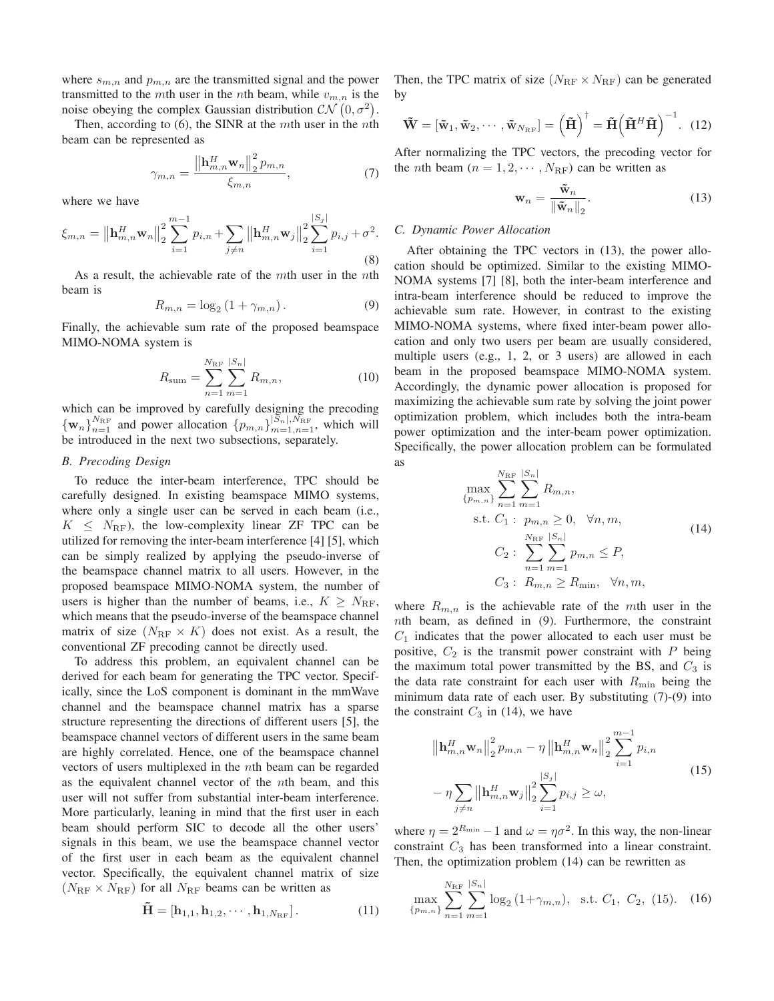where  $s_{m,n}$  and  $p_{m,n}$  are the transmitted signal and the power transmitted to the mth user in the nth beam, while  $v_{m,n}$  is the noise obeying the complex Gaussian distribution  $\mathcal{CN}(0, \sigma^2)$ .

Then, according to  $(6)$ , the SINR at the  $m$ th user in the  $n$ th beam can be represented as

$$
\gamma_{m,n} = \frac{\left\| \mathbf{h}_{m,n}^{H} \mathbf{w}_{n} \right\|_{2}^{2} p_{m,n}}{\xi_{m,n}},\tag{7}
$$

where we have

$$
\xi_{m,n} = \left\| \mathbf{h}_{m,n}^H \mathbf{w}_n \right\|_2^2 \sum_{i=1}^{m-1} p_{i,n} + \sum_{j \neq n} \left\| \mathbf{h}_{m,n}^H \mathbf{w}_j \right\|_2^2 \sum_{i=1}^{|S_j|} p_{i,j} + \sigma^2.
$$
\n(8)

As a result, the achievable rate of the  $m$ th user in the  $n$ th beam is

$$
R_{m,n} = \log_2\left(1 + \gamma_{m,n}\right). \tag{9}
$$

Finally, the achievable sum rate of the proposed beamspace MIMO-NOMA system is

$$
R_{\text{sum}} = \sum_{n=1}^{N_{\text{RF}}} \sum_{m=1}^{|S_n|} R_{m,n},
$$
\n(10)

which can be improved by carefully designing the precoding  ${\mathbf{w}_n}_{n=1}^{N_{\text{RF}}}$  and power allocation  $\{p_{m,n}\}_{m=1,n=1}^{|S_n|,N_{\text{RF}}}$ , which will be introduced in the next two subsections, separately.

# *B. Precoding Design*

To reduce the inter-beam interference, TPC should be carefully designed. In existing beamspace MIMO systems, where only a single user can be served in each beam (i.e.,  $K \leq N_{\text{RF}}$ , the low-complexity linear ZF TPC can be utilized for removing the inter-beam interference [4] [5], which can be simply realized by applying the pseudo-inverse of the beamspace channel matrix to all users. However, in the proposed beamspace MIMO-NOMA system, the number of users is higher than the number of beams, i.e.,  $K \geq N_{\text{RF}}$ , which means that the pseudo-inverse of the beamspace channel matrix of size  $(N_{\text{RF}} \times K)$  does not exist. As a result, the conventional ZF precoding cannot be directly used.

To address this problem, an equivalent channel can be derived for each beam for generating the TPC vector. Specifically, since the LoS component is dominant in the mmWave channel and the beamspace channel matrix has a sparse structure representing the directions of different users [5], the beamspace channel vectors of different users in the same beam are highly correlated. Hence, one of the beamspace channel vectors of users multiplexed in the *n*th beam can be regarded as the equivalent channel vector of the *th beam, and this* user will not suffer from substantial inter-beam interference. More particularly, leaning in mind that the first user in each beam should perform SIC to decode all the other users' signals in this beam, we use the beamspace channel vector of the first user in each beam as the equivalent channel vector. Specifically, the equivalent channel matrix of size  $(N_{\rm RF} \times N_{\rm RF})$  for all  $N_{\rm RF}$  beams can be written as

$$
\tilde{\mathbf{H}} = [\mathbf{h}_{1,1}, \mathbf{h}_{1,2}, \cdots, \mathbf{h}_{1,N_{\text{RF}}}]. \tag{11}
$$

Then, the TPC matrix of size ( $N_{\text{RF}} \times N_{\text{RF}}$ ) can be generated by

$$
\tilde{\mathbf{W}} = [\tilde{\mathbf{w}}_1, \tilde{\mathbf{w}}_2, \cdots, \tilde{\mathbf{w}}_{N_{\text{RF}}}] = (\tilde{\mathbf{H}})^{\dagger} = \tilde{\mathbf{H}} (\tilde{\mathbf{H}}^H \tilde{\mathbf{H}})^{-1}.
$$
 (12)

After normalizing the TPC vectors, the precoding vector for the *n*th beam ( $n = 1, 2, \cdots, N_{\text{RF}}$ ) can be written as

$$
\mathbf{w}_n = \frac{\tilde{\mathbf{w}}_n}{\|\tilde{\mathbf{w}}_n\|_2}.
$$
 (13)

# *C. Dynamic Power Allocation*

After obtaining the TPC vectors in (13), the power allocation should be optimized. Similar to the existing MIMO-NOMA systems [7] [8], both the inter-beam interference and intra-beam interference should be reduced to improve the achievable sum rate. However, in contrast to the existing MIMO-NOMA systems, where fixed inter-beam power allocation and only two users per beam are usually considered, multiple users (e.g., 1, 2, or 3 users) are allowed in each beam in the proposed beamspace MIMO-NOMA system. Accordingly, the dynamic power allocation is proposed for maximizing the achievable sum rate by solving the joint power optimization problem, which includes both the intra-beam power optimization and the inter-beam power optimization. Specifically, the power allocation problem can be formulated as

max {,} ∑RF =1 ∑ ∣ =1 ,, s.t. <sup>1</sup> : , ≥ 0, ∀, , <sup>2</sup> : ∑RF =1 ∑ ∣ =1 , ≤ , <sup>3</sup> : , ≥ min, ∀, , (14)

where  $R_{m,n}$  is the achievable rate of the mth user in the  $n$ th beam, as defined in  $(9)$ . Furthermore, the constraint  $C_1$  indicates that the power allocated to each user must be positive,  $C_2$  is the transmit power constraint with  $P$  being the maximum total power transmitted by the BS, and  $C_3$  is the data rate constraint for each user with  $R_{\text{min}}$  being the minimum data rate of each user. By substituting (7)-(9) into the constraint  $C_3$  in (14), we have

$$
\|\mathbf{h}_{m,n}^{H}\mathbf{w}_{n}\|_{2}^{2}p_{m,n} - \eta \left\|\mathbf{h}_{m,n}^{H}\mathbf{w}_{n}\right\|_{2}^{2} \sum_{i=1}^{m-1} p_{i,n}
$$

$$
-\eta \sum_{j \neq n} \left\|\mathbf{h}_{m,n}^{H}\mathbf{w}_{j}\right\|_{2}^{2} \sum_{i=1}^{|S_{j}|} p_{i,j} \geq \omega,
$$
(15)

where  $\eta = 2^{R_{\min}} - 1$  and  $\omega = \eta \sigma^2$ . In this way, the non-linear constraint  $C_3$  has been transformed into a linear constraint. Then, the optimization problem (14) can be rewritten as

$$
\max_{\{p_{m,n}\}} \sum_{n=1}^{N_{\text{RF}}} \sum_{m=1}^{|S_n|} \log_2 \left(1 + \gamma_{m,n}\right), \text{ s.t. } C_1, C_2, (15). \quad (16)
$$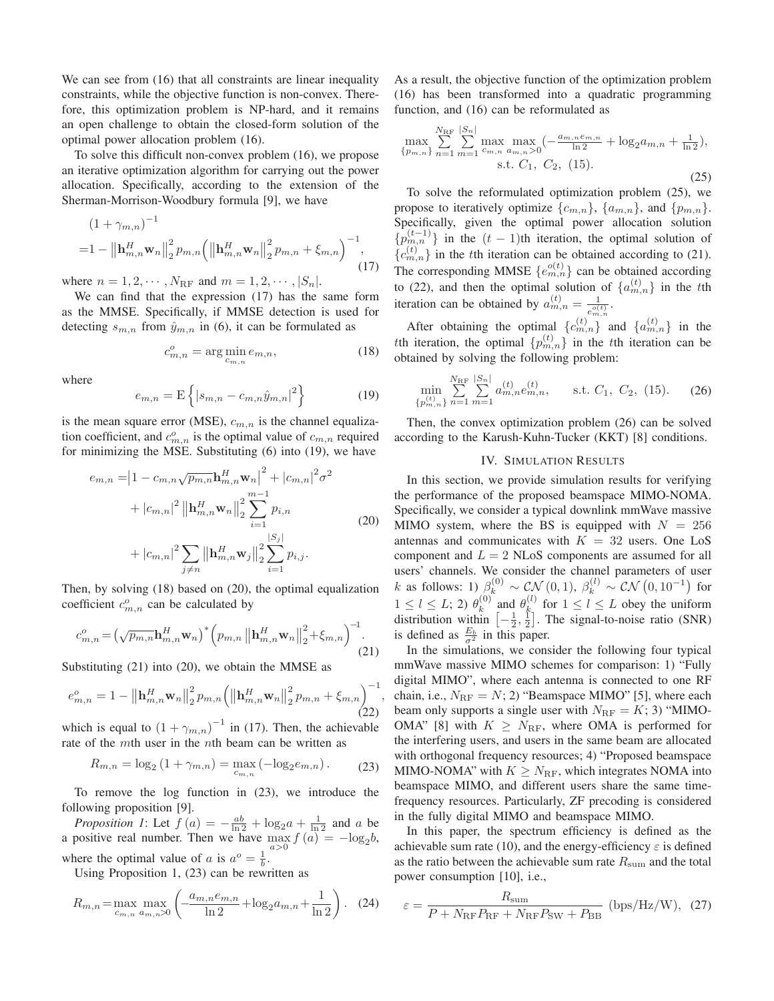We can see from  $(16)$  that all constraints are linear inequality constraints, while the objective function is non-convex. Therefore, this optimization problem is NP-hard, and it remains an open challenge to obtain the closed-form solution of the optimal power allocation problem (16).

To solve this difficult non-convex problem (16), we propose an iterative optimization algorithm for carrying out the power allocation. Specifically, according to the extension of the Sherman-Morrison-Woodbury formula [9], we have

$$
(1 + \gamma_{m,n})^{-1}
$$
  
=1 -  $\left\|\mathbf{h}_{m,n}^{H} \mathbf{w}_{n}\right\|_{2}^{2} p_{m,n} \left(\left\|\mathbf{h}_{m,n}^{H} \mathbf{w}_{n}\right\|_{2}^{2} p_{m,n} + \xi_{m,n}\right)^{-1},$  (17)

where  $n = 1, 2, \cdots, N_{\text{RF}}$  and  $m = 1, 2, \cdots, |S_n|$ .

We can find that the expression (17) has the same form as the MMSE. Specifically, if MMSE detection is used for detecting  $s_{m,n}$  from  $\hat{y}_{m,n}$  in (6), it can be formulated as

$$
c_{m,n}^o = \arg\min_{c_{m,n}} e_{m,n},\tag{18}
$$

where

$$
e_{m,n} = \mathcal{E}\left\{|s_{m,n} - c_{m,n}\hat{y}_{m,n}|^2\right\}
$$
 (19)

is the mean square error (MSE),  $c_{m,n}$  is the channel equalization coefficient, and  $c_{m,n}^o$  is the optimal value of  $c_{m,n}$  required for minimizing the MSE. Substituting (6) into (19), we have

$$
e_{m,n} = |1 - c_{m,n}\sqrt{p_{m,n}}\mathbf{h}_{m,n}^H \mathbf{w}_n|^2 + |c_{m,n}|^2 \sigma^2
$$
  
+  $|c_{m,n}|^2 ||\mathbf{h}_{m,n}^H \mathbf{w}_n||_2^2 \sum_{i=1}^{m-1} p_{i,n}$   
+  $|c_{m,n}|^2 \sum_{j\neq n} ||\mathbf{h}_{m,n}^H \mathbf{w}_j||_2^2 \sum_{i=1}^{|S_j|} p_{i,j}.$  (20)

Then, by solving (18) based on (20), the optimal equalization coefficient  $c_{m,n}^o$  can be calculated by

$$
c_{m,n}^{o} = \left(\sqrt{p_{m,n}} \mathbf{h}_{m,n}^{H} \mathbf{w}_{n}\right)^{*} \left(p_{m,n} \left\|\mathbf{h}_{m,n}^{H} \mathbf{w}_{n}\right\|_{2}^{2} + \xi_{m,n}\right)^{-1}.\tag{21}
$$

Substituting (21) into (20), we obtain the MMSE as

$$
e_{m,n}^{o} = 1 - \left\|\mathbf{h}_{m,n}^{H} \mathbf{w}_{n}\right\|_{2}^{2} p_{m,n} \left(\left\|\mathbf{h}_{m,n}^{H} \mathbf{w}_{n}\right\|_{2}^{2} p_{m,n} + \xi_{m,n}\right)^{-1},\tag{22}
$$

which is equal to  $(1 + \gamma_{m,n})^{-1}$  in (17). Then, the achievable rate of the mth user in the nth beam can be written as

$$
R_{m,n} = \log_2\left(1 + \gamma_{m,n}\right) = \max_{c_{m,n}}\left(-\log_2 e_{m,n}\right). \tag{23}
$$

To remove the log function in (23), we introduce the following proposition [9].

*Proposition 1*: Let  $f(a) = -\frac{ab}{\ln 2} + \log_2 a + \frac{1}{\ln 2}$  and a be a positive real number. Then we have  $\max_{a>0} f(a) = -\log_2 b$ ,

where the optimal value of a is  $a^{\circ} = \frac{1}{b}$ .

Using Proposition 1, (23) can be rewritten as

$$
R_{m,n} = \max_{c_{m,n}} \max_{a_{m,n} > 0} \left( \frac{a_{m,n} e_{m,n}}{\ln 2} + \log_2 a_{m,n} + \frac{1}{\ln 2} \right). \tag{24}
$$

As a result, the objective function of the optimization problem (16) has been transformed into a quadratic programming function, and (16) can be reformulated as

$$
\max_{\{p_{m,n}\}} \sum_{n=1}^{N_{\text{RF}}} \sum_{m=1}^{|S_n|} \max_{c_{m,n}} \max_{a_{m,n}>0} \left( -\frac{a_{m,n}e_{m,n}}{\ln 2} + \log_2 a_{m,n} + \frac{1}{\ln 2} \right),
$$
  
s.t.  $C_1$ ,  $C_2$ , (15). (25)

To solve the reformulated optimization problem (25), we propose to iteratively optimize  $\{c_{m,n}\}, \{a_{m,n}\},$  and  $\{p_{m,n}\}.$ Specifically, given the optimal power allocation solution  $\{p_{m,n}^{(t-1)}\}\$  in the  $(t-1)$ th iteration, the optimal solution of  ${c_{m,n}^{(t)}}$  in the tth iteration can be obtained according to (21). The corresponding MMSE  $\{e_{m,n}^{o(t)}\}$  can be obtained according to (22), and then the optimal solution of  $\{a_{m,n}^{(t)}\}$  in the tth iteration can be obtained by  $a_{m,n}^{(t)} = \frac{1}{e_{m,n}^{o(t)}}$ .

After obtaining the optimal  ${c_{m,n}^{(t)}}$  and  ${a_{m,n}^{(t)}}$  in the tth iteration, the optimal  $\{p_{m,n}^{(t)}\}$  in the tth iteration can be obtained by solving the following problem:

$$
\min_{\{p_{m,n}^{(t)}\}} \sum_{n=1}^{N_{\rm RF}} \sum_{m=1}^{|S_n|} a_{m,n}^{(t)} e_{m,n}^{(t)}, \qquad \text{s.t. } C_1, C_2, (15). \tag{26}
$$

Then, the convex optimization problem (26) can be solved according to the Karush-Kuhn-Tucker (KKT) [8] conditions.

# IV. SIMULATION RESULTS

In this section, we provide simulation results for verifying the performance of the proposed beamspace MIMO-NOMA. Specifically, we consider a typical downlink mmWave massive MIMO system, where the BS is equipped with  $N = 256$ antennas and communicates with  $K = 32$  users. One LoS component and  $L = 2$  NLoS components are assumed for all users' channels. We consider the channel parameters of user k as follows: 1)  $\beta_k^{(0)} \sim \mathcal{CN}(0,1)$ ,  $\beta_k^{(l)} \sim \mathcal{CN}(0,10^{-1})$  for  $1 \leq l \leq L$ ; 2)  $\theta_k^{(0)}$  and  $\theta_k^{(l)}$  for  $1 \leq l \leq L$  obey the uniform distribution within  $\left[-\frac{1}{2},\frac{1}{2}\right]$ . The signal-to-noise ratio (SNR) is defined as  $\frac{E_b}{\sigma^2}$  in this paper.

In the simulations, we consider the following four typical mmWave massive MIMO schemes for comparison: 1) "Fully digital MIMO", where each antenna is connected to one RF chain, i.e.,  $N_{\text{RF}} = N$ ; 2) "Beamspace MIMO" [5], where each beam only supports a single user with  $N_{\text{RF}} = K$ ; 3) "MIMO-OMA" [8] with  $K \geq N_{\text{RF}}$ , where OMA is performed for the interfering users, and users in the same beam are allocated with orthogonal frequency resources; 4) "Proposed beamspace MIMO-NOMA" with  $K \geq N_{\text{RF}}$ , which integrates NOMA into beamspace MIMO, and different users share the same timefrequency resources. Particularly, ZF precoding is considered in the fully digital MIMO and beamspace MIMO.

In this paper, the spectrum efficiency is defined as the achievable sum rate (10), and the energy-efficiency  $\varepsilon$  is defined as the ratio between the achievable sum rate  $R_{\text{sum}}$  and the total power consumption [10], i.e.,

$$
\varepsilon = \frac{R_{\text{sum}}}{P + N_{\text{RF}} P_{\text{RF}} + N_{\text{RF}} P_{\text{SW}} + P_{\text{BB}}} \text{ (bps/Hz/W)}, \text{ (27)}
$$